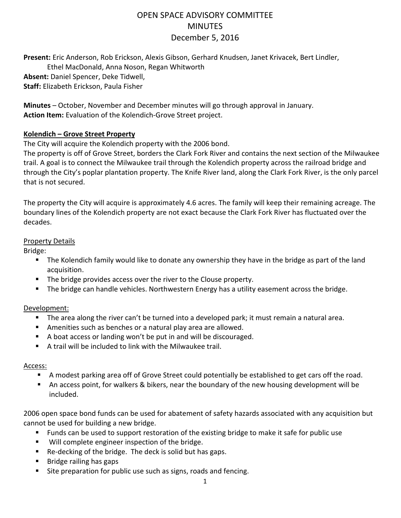# OPEN SPACE ADVISORY COMMITTEE **MINUTES** December 5, 2016

**Present:** Eric Anderson, Rob Erickson, Alexis Gibson, Gerhard Knudsen, Janet Krivacek, Bert Lindler, Ethel MacDonald, Anna Noson, Regan Whitworth **Absent:** Daniel Spencer, Deke Tidwell, **Staff:** Elizabeth Erickson, Paula Fisher

**Minutes** – October, November and December minutes will go through approval in January. **Action Item:** Evaluation of the Kolendich-Grove Street project.

## **Kolendich – Grove Street Property**

The City will acquire the Kolendich property with the 2006 bond.

The property is off of Grove Street, borders the Clark Fork River and contains the next section of the Milwaukee trail. A goal is to connect the Milwaukee trail through the Kolendich property across the railroad bridge and through the City's poplar plantation property. The Knife River land, along the Clark Fork River, is the only parcel that is not secured.

The property the City will acquire is approximately 4.6 acres. The family will keep their remaining acreage. The boundary lines of the Kolendich property are not exact because the Clark Fork River has fluctuated over the decades.

## Property Details

Bridge:

- The Kolendich family would like to donate any ownership they have in the bridge as part of the land acquisition.
- The bridge provides access over the river to the Clouse property.
- The bridge can handle vehicles. Northwestern Energy has a utility easement across the bridge.

# Development:

- The area along the river can't be turned into a developed park; it must remain a natural area.
- Amenities such as benches or a natural play area are allowed.
- A boat access or landing won't be put in and will be discouraged.
- A trail will be included to link with the Milwaukee trail.

# Access:

- A modest parking area off of Grove Street could potentially be established to get cars off the road.
- An access point, for walkers & bikers, near the boundary of the new housing development will be included.

2006 open space bond funds can be used for abatement of safety hazards associated with any acquisition but cannot be used for building a new bridge.

- Funds can be used to support restoration of the existing bridge to make it safe for public use
- Will complete engineer inspection of the bridge.
- Re-decking of the bridge. The deck is solid but has gaps.
- Bridge railing has gaps
- Site preparation for public use such as signs, roads and fencing.